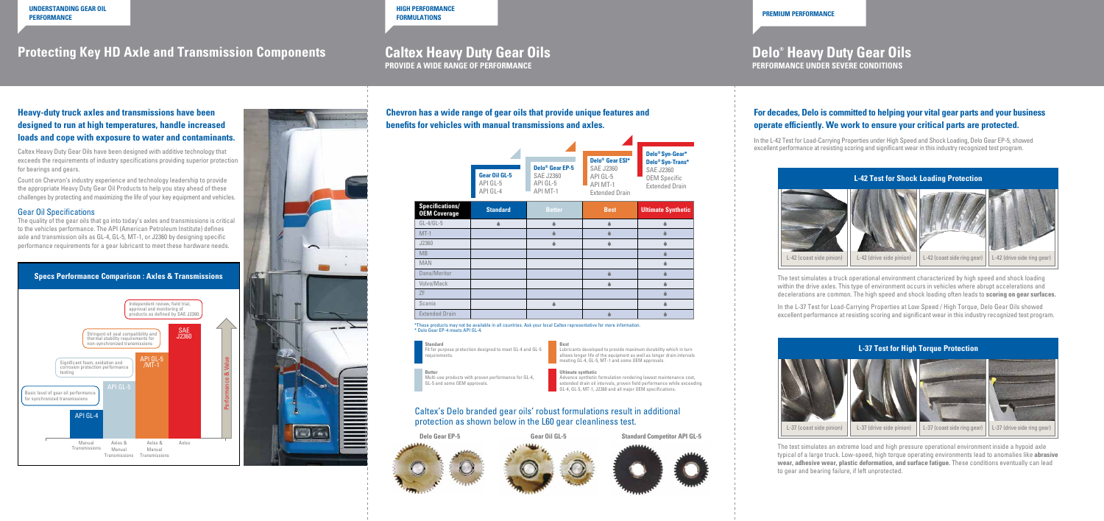# **Caltex Heavy Duty Gear Oils**

**PROVIDE A WIDE RANGE OF PERFORMANCE**

# **Delo® Heavy Duty Gear Oils**

**PERFORMANCE UNDER SEVERE CONDITIONS**

## **Protecting Key HD Axle and Transmission Components**

## **Heavy-duty truck axles and transmissions have been designed to run at high temperatures, handle increased loads and cope with exposure to water and contaminants.**





Caltex Heavy Duty Gear Oils have been designed with additive technology that exceeds the requirements of industry specifications providing superior protection for bearings and gears.

Count on Chevron's industry experience and technology leadership to provide the appropriate Heavy Duty Gear Oil Products to help you stay ahead of these challenges by protecting and maximizing the life of your key equipment and vehicles.

#### Gear Oil Specifications

The quality of the gear oils that go into today's axles and transmissions is critical to the vehicles performance. The API (American Petroleum Institute) defines axle and transmission oils as GL-4, GL-5, MT-1, or J2360 by designing specific performance requirements for a gear lubricant to meet these hardware needs.

> Lubricants developed to provide maximum durability which in turn allows longer life of the equipment as well as longer drain intervals meeting GL-4, GL-5, MT-1 and some OEM approvals.

**Chevron has a wide range of gear oils that provide unique features and benefits for vehicles with manual transmissions and axles.**

### Caltex's Delo branded gear oils' robust formulations result in additional protection as shown below in the L60 gear cleanliness test.













The test simulates an extreme load and high pressure operational environment inside a hypoid axle typical of a large truck. Low-speed, high torque operating environments lead to anomalies like **abrasive wear, adhesive wear, plastic deformation, and surface fatigue.** These conditions eventually can lead to gear and bearing failure, if left unprotected.

|                                               | <b>Gear Oil GL-5</b><br>API GL-5<br>API GL-4 | <b>Delo<sup>®</sup></b> Gear EP-5<br><b>SAE J2360</b><br>API GL-5<br>API MT-1 | Delo <sup>®</sup> Gear ESI*<br><b>SAE J2360</b><br>API GL-5<br>API MT-1<br><b>Extended Drain</b> | Delo <sup>®</sup> Syn-Gear*<br>Delo <sup>®</sup> Syn-Trans*<br><b>SAE J2360</b><br><b>OEM Specific</b><br><b>Extended Drain</b> |
|-----------------------------------------------|----------------------------------------------|-------------------------------------------------------------------------------|--------------------------------------------------------------------------------------------------|---------------------------------------------------------------------------------------------------------------------------------|
| <b>Specifications/</b><br><b>OEM Coverage</b> | <b>Standard</b>                              | <b>Better</b>                                                                 | <b>Best</b>                                                                                      | <b>Ultimate Synthetic</b>                                                                                                       |
| $GL-4/GL-5$                                   | ●                                            |                                                                               | Δ                                                                                                |                                                                                                                                 |
| $MT-1$                                        |                                              |                                                                               |                                                                                                  |                                                                                                                                 |
| J2360                                         |                                              |                                                                               |                                                                                                  |                                                                                                                                 |
| MB                                            |                                              |                                                                               |                                                                                                  |                                                                                                                                 |
| MAN                                           |                                              |                                                                               |                                                                                                  |                                                                                                                                 |
| Dana/Meritor                                  |                                              |                                                                               |                                                                                                  |                                                                                                                                 |
| Volvo/Mack                                    |                                              |                                                                               | ▲                                                                                                |                                                                                                                                 |
| ΖF                                            |                                              |                                                                               |                                                                                                  |                                                                                                                                 |
| Scania                                        |                                              |                                                                               |                                                                                                  |                                                                                                                                 |
| <b>Extended Drain</b>                         |                                              |                                                                               |                                                                                                  |                                                                                                                                 |

\*These products may not be available in all countries. Ask your local Caltex representative for more information. \* Delo Gear EP-4 meets API GL-4.

**Standard** for purpose protection designed to meet GL-4 and GL-5 requirements.

**Better**

Multi-use products with proven performance for GL-4, GL-5 and some OEM approvals.

#### **Best**

#### **Ultimate synthetic**

Advance synthetic formulation rendering lowest maintenance cost, extended drain oil intervals, proven field performance while exceeding GL-4, GL-5, MT-1, J2360 and all major OEM specifications.

### **For decades, Delo is committed to helping your vital gear parts and your business operate efficiently. We work to ensure your critical parts are protected.**

In the L-42 Test for Load-Carrying Properties under High Speed and Shock Loading, Delo Gear EP-5, showed excellent performance at resisting scoring and significant wear in this industry recognized test program.





The test simulates a truck operational environment characterized by high speed and shock loading within the drive axles. This type of environment occurs in vehicles where abrupt accelerations and decelerations are common. The high speed and shock loading often leads to **scoring on gear surfaces.**

In the L-37 Test for Load-Carrying Properties at Low Speed / High Torque, Delo Gear Oils showed excellent performance at resisting scoring and significant wear in this industry recognized test program.